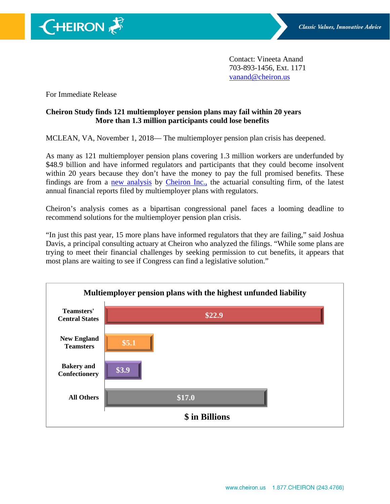Contact: Vineeta Anand 703-893-1456, Ext. 1171 [vanand@cheiron.us](mailto:vanand@cheiron.us)

For Immediate Release

 $\bigoplus$ HEIRON

## **Cheiron Study finds 121 multiemployer pension plans may fail within 20 years More than 1.3 million participants could lose benefits**

MCLEAN, VA, November 1, 2018— The multiemployer pension plan crisis has deepened.

As many as 121 multiemployer pension plans covering 1.3 million workers are underfunded by \$48.9 billion and have informed regulators and participants that they could become insolvent within 20 years because they don't have the money to pay the full promised benefits. These findings are from a [new analysis](https://cheiron.us/cheironHome/criticalPlans.do?biID=28) by [Cheiron Inc.,](https://cheiron.us/cheironHome/) the actuarial consulting firm, of the latest annual financial reports filed by multiemployer plans with regulators.

Cheiron's analysis comes as a bipartisan congressional panel faces a looming deadline to recommend solutions for the multiemployer pension plan crisis.

"In just this past year, 15 more plans have informed regulators that they are failing," said Joshua Davis, a principal consulting actuary at Cheiron who analyzed the filings. "While some plans are trying to meet their financial challenges by seeking permission to cut benefits, it appears that most plans are waiting to see if Congress can find a legislative solution."